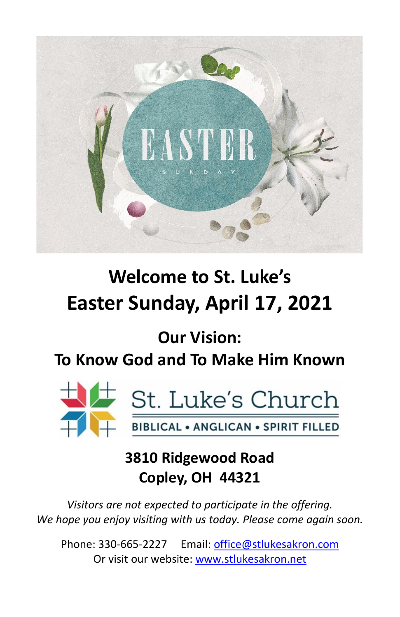

# **Welcome to St. Luke's Easter Sunday, April 17, 2021**

**Our Vision:**

# **To Know God and To Make Him Known**



# **3810 Ridgewood Road Copley, OH 44321**

*Visitors are not expected to participate in the offering. We hope you enjoy visiting with us today. Please come again soon.* 

Phone: 330-665-2227 Email: [office@stlukesakron.com](mailto:office@stlukesakron.com) Or visit our website: [www.stlukesakron.net](http://www.stlukesakron.net/)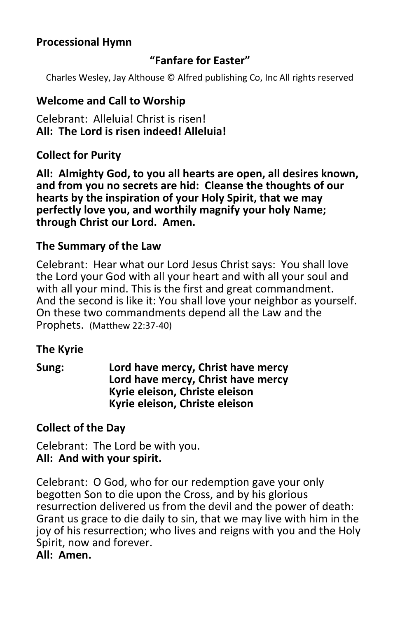#### **Processional Hymn**

#### **"Fanfare for Easter"**

Charles Wesley, Jay Althouse © Alfred publishing Co, Inc All rights reserved

#### **Welcome and Call to Worship**

Celebrant: Alleluia! Christ is risen! **All: The Lord is risen indeed! Alleluia!**

#### **Collect for Purity**

**All: Almighty God, to you all hearts are open, all desires known, and from you no secrets are hid: Cleanse the thoughts of our hearts by the inspiration of your Holy Spirit, that we may perfectly love you, and worthily magnify your holy Name; through Christ our Lord. Amen.**

#### **The Summary of the Law**

Celebrant: Hear what our Lord Jesus Christ says: You shall love the Lord your God with all your heart and with all your soul and with all your mind. This is the first and great commandment. And the second is like it: You shall love your neighbor as yourself. On these two commandments depend all the Law and the Prophets. (Matthew 22:37-40)

#### **The Kyrie**

#### **Sung: Lord have mercy, Christ have mercy Lord have mercy, Christ have mercy Kyrie eleison, Christe eleison Kyrie eleison, Christe eleison**

#### **Collect of the Day**

Celebrant: The Lord be with you. **All: And with your spirit.**

Celebrant: O God, who for our redemption gave your only begotten Son to die upon the Cross, and by his glorious resurrection delivered us from the devil and the power of death: Grant us grace to die daily to sin, that we may live with him in the joy of his resurrection; who lives and reigns with you and the Holy Spirit, now and forever.

#### **All: Amen.**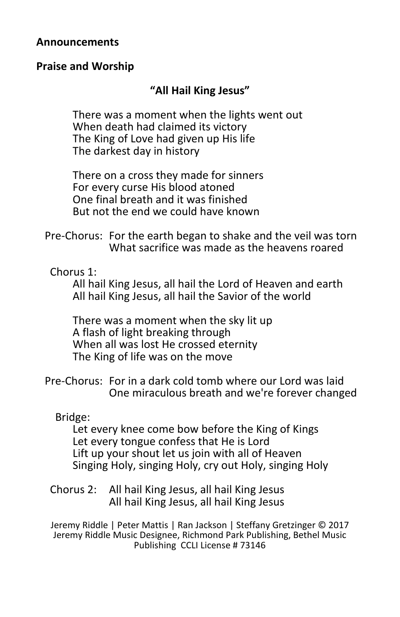#### **Announcements**

#### **Praise and Worship**

#### **"All Hail King Jesus"**

There was a moment when the lights went out When death had claimed its victory The King of Love had given up His life The darkest day in history

There on a cross they made for sinners For every curse His blood atoned One final breath and it was finished But not the end we could have known

Pre-Chorus: For the earth began to shake and the veil was torn What sacrifice was made as the heavens roared

Chorus 1:

All hail King Jesus, all hail the Lord of Heaven and earth All hail King Jesus, all hail the Savior of the world

There was a moment when the sky lit up A flash of light breaking through When all was lost He crossed eternity The King of life was on the move

Pre-Chorus: For in a dark cold tomb where our Lord was laid One miraculous breath and we're forever changed

Bridge:

Let every knee come bow before the King of Kings Let every tongue confess that He is Lord Lift up your shout let us join with all of Heaven Singing Holy, singing Holy, cry out Holy, singing Holy

Chorus 2: All hail King Jesus, all hail King Jesus All hail King Jesus, all hail King Jesus

Jeremy Riddle | Peter Mattis | Ran Jackson | Steffany Gretzinger © 2017 Jeremy Riddle Music Designee, Richmond Park Publishing, Bethel Music Publishing CCLI License # 73146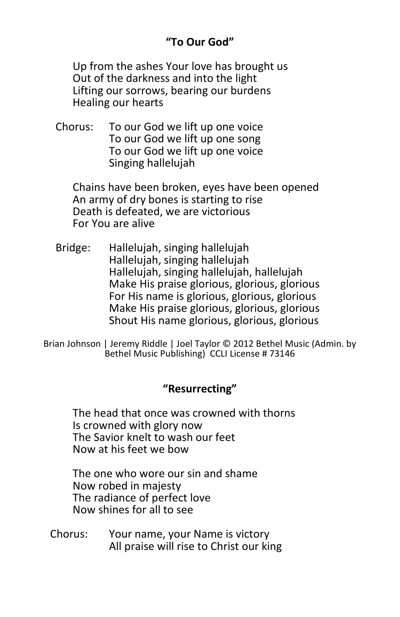## **"To Our God"**

Up from the ashes Your love has brought us Out of the darkness and into the light Lifting our sorrows, bearing our burdens Healing our hearts

 Chorus: To our God we lift up one voice To our God we lift up one song To our God we lift up one voice Singing hallelujah

Chains have been broken, eyes have been opened An army of dry bones is starting to rise Death is defeated, we are victorious For You are alive

 Bridge: Hallelujah, singing hallelujah Hallelujah, singing hallelujah Hallelujah, singing hallelujah, hallelujah Make His praise glorious, glorious, glorious For His name is glorious, glorious, glorious Make His praise glorious, glorious, glorious Shout His name glorious, glorious, glorious

Brian Johnson | Jeremy Riddle | Joel Taylor © 2012 Bethel Music (Admin. by Bethel Music Publishing) CCLI License # 73146

#### **"Resurrecting"**

The head that once was crowned with thorns Is crowned with glory now The Savior knelt to wash our feet Now at his feet we bow

The one who wore our sin and shame Now robed in majesty The radiance of perfect love Now shines for all to see

 Chorus: Your name, your Name is victory All praise will rise to Christ our king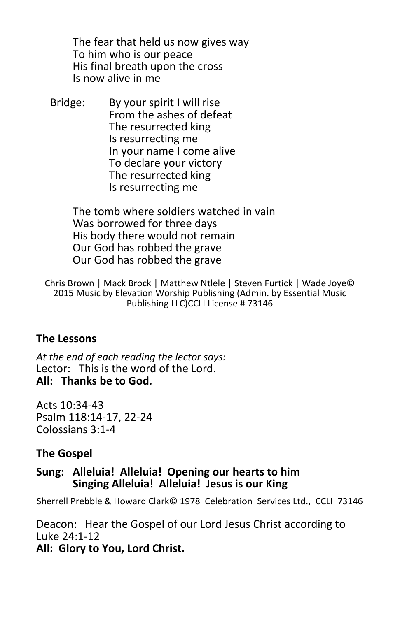The fear that held us now gives way To him who is our peace His final breath upon the cross Is now alive in me

 Bridge: By your spirit I will rise From the ashes of defeat The resurrected king Is resurrecting me In your name I come alive To declare your victory The resurrected king Is resurrecting me

> The tomb where soldiers watched in vain Was borrowed for three days His body there would not remain Our God has robbed the grave Our God has robbed the grave

Chris Brown | Mack Brock | Matthew Ntlele | Steven Furtick | Wade Joye© 2015 Music by Elevation Worship Publishing (Admin. by Essential Music Publishing LLC)CCLI License # 73146

#### **The Lessons**

*At the end of each reading the lector says:* Lector: This is the word of the Lord. **All: Thanks be to God.** 

Acts 10:34-43 Psalm 118:14-17, 22-24 Colossians 3:1-4

#### **The Gospel**

#### **Sung: Alleluia! Alleluia! Opening our hearts to him Singing Alleluia! Alleluia! Jesus is our King**

Sherrell Prebble & Howard Clark© 1978 Celebration Services Ltd., CCLI 73146

Deacon: Hear the Gospel of our Lord Jesus Christ according to Luke 24:1-12 **All: Glory to You, Lord Christ.**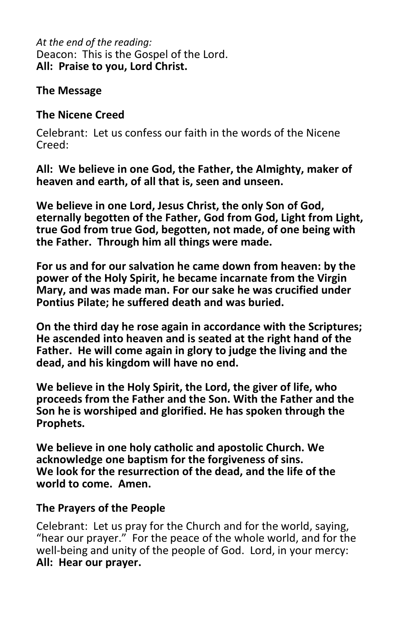*At the end of the reading:* Deacon: This is the Gospel of the Lord. **All: Praise to you, Lord Christ.**

#### **The Message**

#### **The Nicene Creed**

Celebrant: Let us confess our faith in the words of the Nicene Creed:

**All: We believe in one God, the Father, the Almighty, maker of heaven and earth, of all that is, seen and unseen.** 

**We believe in one Lord, Jesus Christ, the only Son of God, eternally begotten of the Father, God from God, Light from Light, true God from true God, begotten, not made, of one being with the Father. Through him all things were made.** 

**For us and for our salvation he came down from heaven: by the power of the Holy Spirit, he became incarnate from the Virgin Mary, and was made man. For our sake he was crucified under Pontius Pilate; he suffered death and was buried.** 

**On the third day he rose again in accordance with the Scriptures; He ascended into heaven and is seated at the right hand of the Father. He will come again in glory to judge the living and the dead, and his kingdom will have no end.** 

**We believe in the Holy Spirit, the Lord, the giver of life, who proceeds from the Father and the Son. With the Father and the Son he is worshiped and glorified. He has spoken through the Prophets.** 

**We believe in one holy catholic and apostolic Church. We acknowledge one baptism for the forgiveness of sins. We look for the resurrection of the dead, and the life of the world to come. Amen.**

#### **The Prayers of the People**

Celebrant: Let us pray for the Church and for the world, saying, "hear our prayer." For the peace of the whole world, and for the well-being and unity of the people of God. Lord, in your mercy: **All: Hear our prayer.**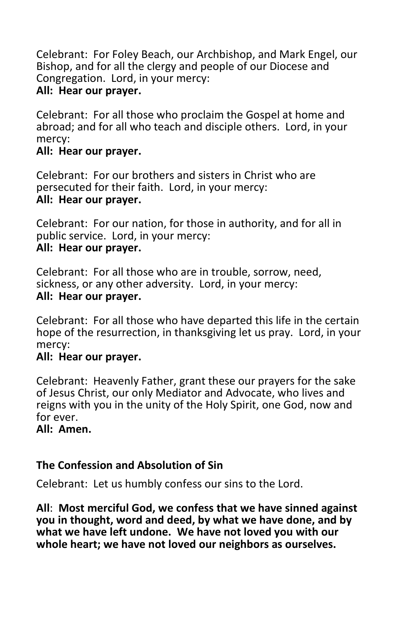Celebrant: For Foley Beach, our Archbishop, and Mark Engel, our Bishop, and for all the clergy and people of our Diocese and Congregation. Lord, in your mercy:

#### **All: Hear our prayer.**

Celebrant: For all those who proclaim the Gospel at home and abroad; and for all who teach and disciple others. Lord, in your mercy:

#### **All: Hear our prayer.**

Celebrant: For our brothers and sisters in Christ who are persecuted for their faith. Lord, in your mercy: **All: Hear our prayer.** 

Celebrant: For our nation, for those in authority, and for all in public service. Lord, in your mercy: **All: Hear our prayer.** 

Celebrant: For all those who are in trouble, sorrow, need, sickness, or any other adversity. Lord, in your mercy: **All: Hear our prayer.** 

Celebrant: For all those who have departed this life in the certain hope of the resurrection, in thanksgiving let us pray. Lord, in your mercy:

#### **All: Hear our prayer.**

Celebrant: Heavenly Father, grant these our prayers for the sake of Jesus Christ, our only Mediator and Advocate, who lives and reigns with you in the unity of the Holy Spirit, one God, now and for ever.

**All: Amen.**

#### **The Confession and Absolution of Sin**

Celebrant: Let us humbly confess our sins to the Lord.

**All**: **Most merciful God, we confess that we have sinned against you in thought, word and deed, by what we have done, and by what we have left undone. We have not loved you with our whole heart; we have not loved our neighbors as ourselves.**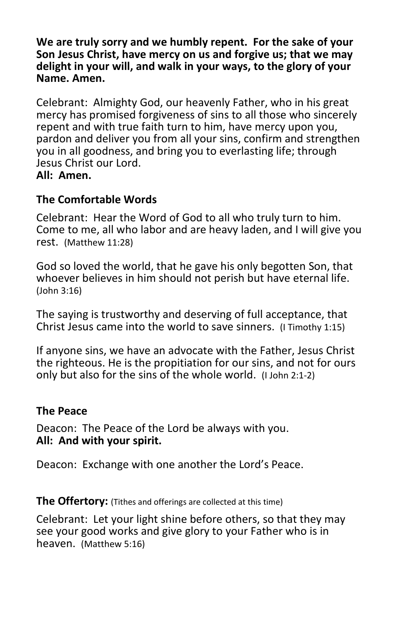**We are truly sorry and we humbly repent. For the sake of your Son Jesus Christ, have mercy on us and forgive us; that we may delight in your will, and walk in your ways, to the glory of your Name. Amen.**

Celebrant: Almighty God, our heavenly Father, who in his great mercy has promised forgiveness of sins to all those who sincerely repent and with true faith turn to him, have mercy upon you, pardon and deliver you from all your sins, confirm and strengthen you in all goodness, and bring you to everlasting life; through Jesus Christ our Lord. **All: Amen.**

#### **The Comfortable Words**

Celebrant: Hear the Word of God to all who truly turn to him. Come to me, all who labor and are heavy laden, and I will give you rest. (Matthew 11:28)

God so loved the world, that he gave his only begotten Son, that whoever believes in him should not perish but have eternal life. (John 3:16)

The saying is trustworthy and deserving of full acceptance, that Christ Jesus came into the world to save sinners. (I Timothy 1:15)

If anyone sins, we have an advocate with the Father, Jesus Christ the righteous. He is the propitiation for our sins, and not for ours only but also for the sins of the whole world. (I John 2:1-2)

#### **The Peace**

Deacon:The Peace of the Lord be always with you. **All: And with your spirit.**

Deacon: Exchange with one another the Lord's Peace.

**The Offertory:** (Tithes and offerings are collected at this time)

Celebrant: Let your light shine before others, so that they may see your good works and give glory to your Father who is in heaven. (Matthew 5:16)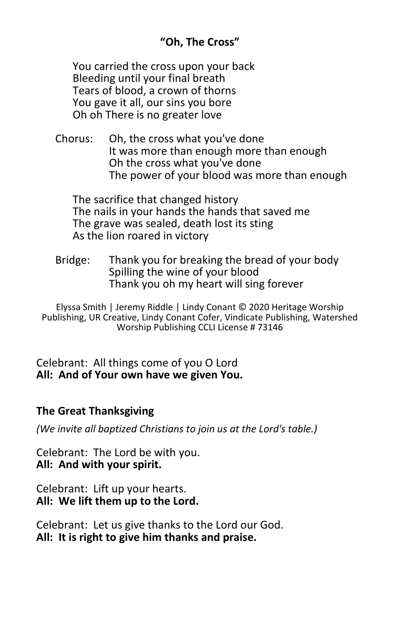# **"Oh, The Cross"**

You carried the cross upon your back Bleeding until your final breath Tears of blood, a crown of thorns You gave it all, our sins you bore Oh oh There is no greater love

Chorus: Oh, the cross what you've done It was more than enough more than enough Oh the cross what you've done The power of your blood was more than enough

The sacrifice that changed history The nails in your hands the hands that saved me The grave was sealed, death lost its sting As the lion roared in victory

Bridge: Thank you for breaking the bread of your body Spilling the wine of your blood Thank you oh my heart will sing forever

Elyssa Smith | Jeremy Riddle | Lindy Conant © 2020 Heritage Worship Publishing, UR Creative, Lindy Conant Cofer, Vindicate Publishing, Watershed Worship Publishing CCLI License # 73146

Celebrant: All things come of you O Lord **All: And of Your own have we given You.**

#### **The Great Thanksgiving**

*(We invite all baptized Christians to join us at the Lord's table.)*

Celebrant: The Lord be with you. **All: And with your spirit.**

Celebrant: Lift up your hearts. **All: We lift them up to the Lord.**

Celebrant: Let us give thanks to the Lord our God. **All: It is right to give him thanks and praise.**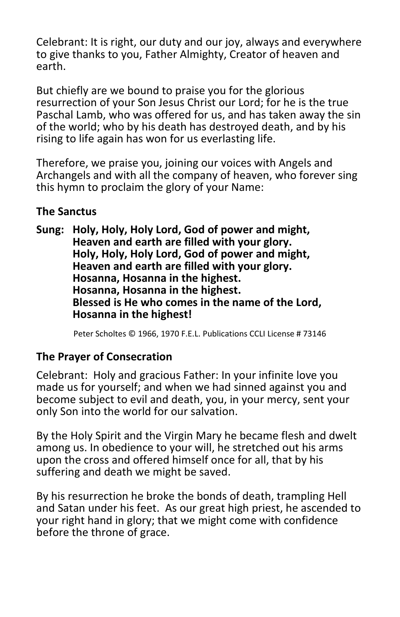Celebrant: It is right, our duty and our joy, always and everywhere to give thanks to you, Father Almighty, Creator of heaven and earth.

But chiefly are we bound to praise you for the glorious resurrection of your Son Jesus Christ our Lord; for he is the true Paschal Lamb, who was offered for us, and has taken away the sin of the world; who by his death has destroyed death, and by his rising to life again has won for us everlasting life.

Therefore, we praise you, joining our voices with Angels and Archangels and with all the company of heaven, who forever sing this hymn to proclaim the glory of your Name:

#### **The Sanctus**

**Sung: Holy, Holy, Holy Lord, God of power and might, Heaven and earth are filled with your glory. Holy, Holy, Holy Lord, God of power and might, Heaven and earth are filled with your glory. Hosanna, Hosanna in the highest. Hosanna, Hosanna in the highest. Blessed is He who comes in the name of the Lord, Hosanna in the highest!** 

Peter Scholtes © 1966, 1970 F.E.L. Publications CCLI License # 73146

#### **The Prayer of Consecration**

Celebrant: Holy and gracious Father: In your infinite love you made us for yourself; and when we had sinned against you and become subject to evil and death, you, in your mercy, sent your only Son into the world for our salvation.

By the Holy Spirit and the Virgin Mary he became flesh and dwelt among us. In obedience to your will, he stretched out his arms upon the cross and offered himself once for all, that by his suffering and death we might be saved.

By his resurrection he broke the bonds of death, trampling Hell and Satan under his feet. As our great high priest, he ascended to your right hand in glory; that we might come with confidence before the throne of grace.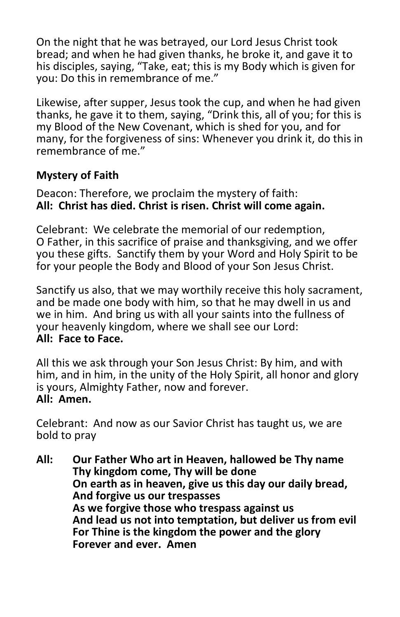On the night that he was betrayed, our Lord Jesus Christ took bread; and when he had given thanks, he broke it, and gave it to his disciples, saying, "Take, eat; this is my Body which is given for you: Do this in remembrance of me."

Likewise, after supper, Jesus took the cup, and when he had given thanks, he gave it to them, saying, "Drink this, all of you; for this is my Blood of the New Covenant, which is shed for you, and for many, for the forgiveness of sins: Whenever you drink it, do this in remembrance of me."

#### **Mystery of Faith**

Deacon: Therefore, we proclaim the mystery of faith: **All: Christ has died. Christ is risen. Christ will come again.**

Celebrant: We celebrate the memorial of our redemption, O Father, in this sacrifice of praise and thanksgiving, and we offer you these gifts. Sanctify them by your Word and Holy Spirit to be for your people the Body and Blood of your Son Jesus Christ.

Sanctify us also, that we may worthily receive this holy sacrament, and be made one body with him, so that he may dwell in us and we in him. And bring us with all your saints into the fullness of your heavenly kingdom, where we shall see our Lord: **All: Face to Face.**

All this we ask through your Son Jesus Christ: By him, and with him, and in him, in the unity of the Holy Spirit, all honor and glory is yours, Almighty Father, now and forever. **All: Amen.**

Celebrant: And now as our Savior Christ has taught us, we are bold to pray

**All: Our Father Who art in Heaven, hallowed be Thy name Thy kingdom come, Thy will be done On earth as in heaven, give us this day our daily bread, And forgive us our trespasses As we forgive those who trespass against us And lead us not into temptation, but deliver us from evil For Thine is the kingdom the power and the glory Forever and ever. Amen**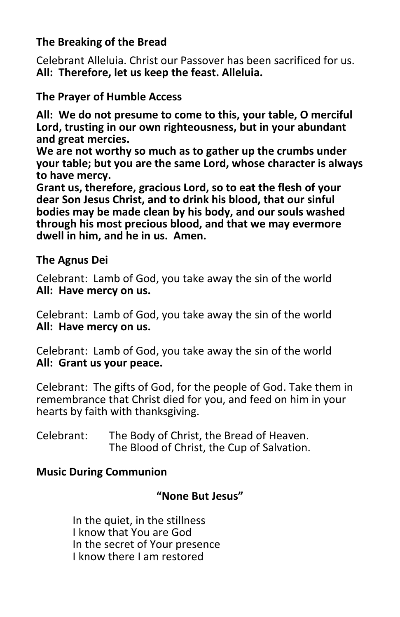#### **The Breaking of the Bread**

Celebrant Alleluia. Christ our Passover has been sacrificed for us. **All: Therefore, let us keep the feast. Alleluia.** 

#### **The Prayer of Humble Access**

**All: We do not presume to come to this, your table, O merciful Lord, trusting in our own righteousness, but in your abundant and great mercies.** 

**We are not worthy so much as to gather up the crumbs under your table; but you are the same Lord, whose character is always to have mercy.** 

**Grant us, therefore, gracious Lord, so to eat the flesh of your dear Son Jesus Christ, and to drink his blood, that our sinful bodies may be made clean by his body, and our souls washed through his most precious blood, and that we may evermore dwell in him, and he in us. Amen.**

**The Agnus Dei**

Celebrant: Lamb of God, you take away the sin of the world **All: Have mercy on us.** 

Celebrant: Lamb of God, you take away the sin of the world **All: Have mercy on us.** 

Celebrant: Lamb of God, you take away the sin of the world **All: Grant us your peace.**

Celebrant: The gifts of God, for the people of God. Take them in remembrance that Christ died for you, and feed on him in your hearts by faith with thanksgiving.

Celebrant: The Body of Christ, the Bread of Heaven. The Blood of Christ, the Cup of Salvation.

#### **Music During Communion**

#### **"None But Jesus"**

In the quiet, in the stillness I know that You are God In the secret of Your presence I know there I am restored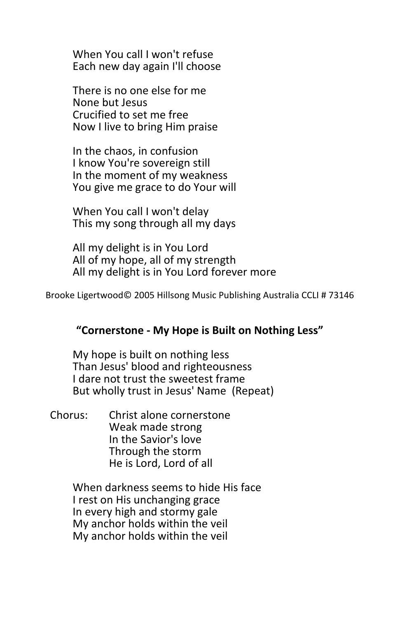When You call I won't refuse Each new day again I'll choose

There is no one else for me None but Jesus Crucified to set me free Now I live to bring Him praise

In the chaos, in confusion I know You're sovereign still In the moment of my weakness You give me grace to do Your will

When You call I won't delay This my song through all my days

All my delight is in You Lord All of my hope, all of my strength All my delight is in You Lord forever more

Brooke Ligertwood© 2005 Hillsong Music Publishing Australia CCLI # 73146

# **"Cornerstone - My Hope is Built on Nothing Less"** My hope is built on nothing less

Than Jesus' blood and righteousness I dare not trust the sweetest frame But wholly trust in Jesus' Name (Repeat)

Chorus: Christ alone cornerstone Weak made strong In the Savior's love Through the storm He is Lord, Lord of all

> When darkness seems to hide His face I rest on His unchanging grace In every high and stormy gale My anchor holds within the veil My anchor holds within the veil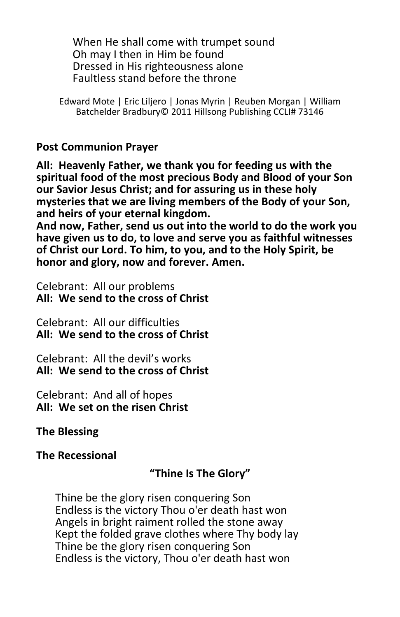When He shall come with trumpet sound Oh may I then in Him be found Dressed in His righteousness alone Faultless stand before the throne

Edward Mote | Eric Liljero | Jonas Myrin | Reuben Morgan | William Batchelder Bradbury© 2011 Hillsong Publishing CCLI# 73146

#### **Post Communion Prayer**

**All: Heavenly Father, we thank you for feeding us with the spiritual food of the most precious Body and Blood of your Son our Savior Jesus Christ; and for assuring us in these holy mysteries that we are living members of the Body of your Son, and heirs of your eternal kingdom.** 

**And now, Father, send us out into the world to do the work you have given us to do, to love and serve you as faithful witnesses of Christ our Lord. To him, to you, and to the Holy Spirit, be honor and glory, now and forever. Amen.**

Celebrant: All our problems **All: We send to the cross of Christ**

Celebrant: All our difficulties **All: We send to the cross of Christ**

Celebrant: All the devil's works **All: We send to the cross of Christ**

Celebrant: And all of hopes **All: We set on the risen Christ**

**The Blessing**

**The Recessional** 

### **"Thine Is The Glory"**

Thine be the glory risen conquering Son Endless is the victory Thou o'er death hast won Angels in bright raiment rolled the stone away Kept the folded grave clothes where Thy body lay Thine be the glory risen conquering Son Endless is the victory, Thou o'er death hast won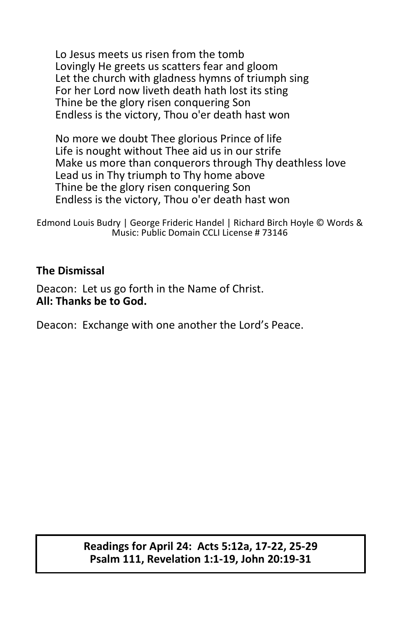Lo Jesus meets us risen from the tomb Lovingly He greets us scatters fear and gloom Let the church with gladness hymns of triumph sing For her Lord now liveth death hath lost its sting Thine be the glory risen conquering Son Endless is the victory, Thou o'er death hast won

No more we doubt Thee glorious Prince of life Life is nought without Thee aid us in our strife Make us more than conquerors through Thy deathless love Lead us in Thy triumph to Thy home above Thine be the glory risen conquering Son Endless is the victory, Thou o'er death hast won

Edmond Louis Budry | George Frideric Handel | Richard Birch Hoyle © Words & Music: Public Domain CCLI License # 73146

#### **The Dismissal**

Deacon: Let us go forth in the Name of Christ. **All: Thanks be to God.**

Deacon: Exchange with one another the Lord's Peace.

**Readings for April 24: Acts 5:12a, 17-22, 25-29 Psalm 111, Revelation 1:1-19, John 20:19-31**